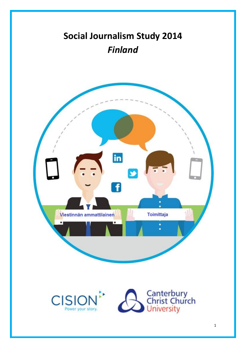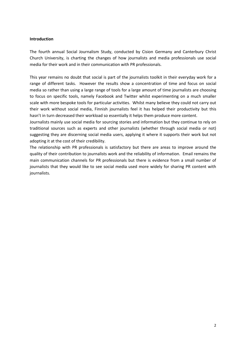#### **Introduction**

The fourth annual Social Journalism Study, conducted by Cision Germany and Canterbury Christ Church University, is charting the changes of how journalists and media professionals use social media for their work and in their communication with PR professionals.

This year remains no doubt that social is part of the journalists toolkit in their everyday work for a range of different tasks. However the results show a concentration of time and focus on social media so rather than using a large range of tools for a large amount of time journalists are choosing to focus on specific tools, namely Facebook and Twitter whilst experimenting on a much smaller scale with more bespoke tools for particular activities. Whilst many believe they could not carry out their work without social media, Finnish journalists feel it has helped their productivity but this hasn't in turn decreased their workload so essentially it helps them produce more content.

Journalists mainly use social media for sourcing stories and information but they continue to rely on traditional sources such as experts and other journalists (whether through social media or not) suggesting they are discerning social media users, applying it where it supports their work but not adopting it at the cost of their credibility.

The relationship with PR professionals is satisfactory but there are areas to improve around the quality of their contribution to journalists work and the reliability of information. Email remains the main communication channels for PR professionals but there is evidence from a small number of journalists that they would like to see social media used more widely for sharing PR content with journalists.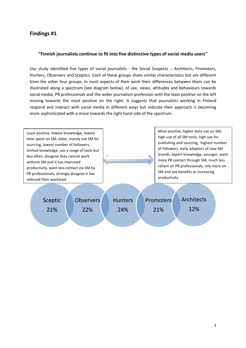#### **"Finnish journalists continue to fit into five distinctive types of social media users"**

Our study identified five types of social journalists - the Social Suspects -: Architects, Promoters, Hunters, Observers and Sceptics. Each of these groups share similar characteristics but are different from the other four groups. In most aspects of their work their differences between them can be illustrated along a spectrum (see diagram below), of use, views, attitudes and behaviours towards social media, PR professionals and the wider journalism profession with the least positive on the left moving towards the most positive on the right. It suggests that journalists working in Finland respond and interact with social media in different ways but indicate their approach is becoming more sophisticated with a move towards the right hand side of the spectrum.

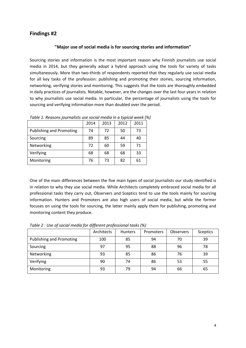#### **"Major use of social media is for sourcing stories and information"**

Sourcing stories and information is the most important reason why Finnish journalists use social media in 2014, but they generally adopt a hybrid approach using the tools for variety of tasks simultaneously. More than two-thirds of respondents reported that they regularly use social media for all key tasks of the profession: publishing and promoting their stories, sourcing information, networking, verifying stories and monitoring. This suggests that the tools are thoroughly embedded in daily practices of journalists. Notable, however, are the changes over the last four years in relation to why journalists use social media. In particular, the percentage of journalists using the tools for sourcing and verifying information more than doubled over the period.

|                          | 2014 | 2013 | 2012 | 2011 |
|--------------------------|------|------|------|------|
| Publishing and Promoting | 74   | 72   | 50   | 73   |
| Sourcing                 | 89   | 85   | 44   | 40   |
| Networking               | 72   | 60   | 59   | 71   |
| Verifying                | 68   | 68   | 68   | 33   |
| Monitoring               | 76   | 73   | 82   | 61   |

*Table 1. Reasons journalists use social media in a typical week (%)* 

One of the main differences between the five main types of social journalists our study identified is in relation to why they use social media. While Architects completely embraced social media for all professional tasks they carry out, Observers and Sceptics tend to use the tools mainly for sourcing information. Hunters and Promoters are also high users of social media, but while the former focuses on using the tools for sourcing, the latter mainly apply them for publishing, promoting and monitoring content they produce.

*Table 2 : Use of social media for different professional tasks (%)*

|                                 | Architects | <b>Hunters</b> | Promoters | <b>Observers</b> | <b>Sceptics</b> |
|---------------------------------|------------|----------------|-----------|------------------|-----------------|
| <b>Publishing and Promoting</b> | 100        | 85             | 94        | 70               | 39              |
| Sourcing                        | 97         | 95             | 88        | 96               | 78              |
| Networking                      | 93         | 85             | 86        | 76               | 39              |
| Verifying                       | 90         | 74             | 86        | 53               | 55              |
| Monitoring                      | 93         | 79             | 94        | 66               | 65              |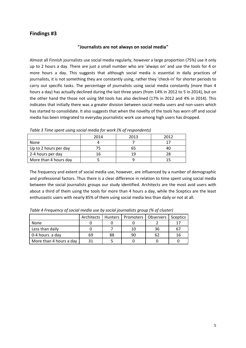#### **"Journalists are not always on social media"**

Almost all Finnish journalists use social media regularly, however a large proportion (75%) use it only up to 2 hours a day. There are just a small number who are 'always on' and use the tools for 4 or more hours a day. This suggests that although social media is essential in daily practices of journalists, it is not something they are constantly using, rather they 'check-in' for shorter periods to carry out specific tasks. The percentage of journalists using social media constantly (more than 4 hours a day) has actually declined during the last three years (from 14% in 2012 to 5 in 2014), but on the other hand the those not using SM tools has also declined (17% in 2012 and 4% in 2014). This indicates that initially there was a greater division between social media users and non-users which has started to consolidate. It also suggests that when the novelty of the tools has worn off and social media has been integrated to everyday journalistic work use among high users has dropped.

|                       | 2014 | 2013 | 2012 |
|-----------------------|------|------|------|
| None                  |      |      |      |
| Up to 2 hours per day |      | 65   | 4(   |
| 2-4 hours per day     |      | 19   | 28   |
| More than 4 hours day |      |      |      |

*Table 3 Time spent using social media for work (% of respondents)*

The frequency and extent of social media use, however, are influenced by a number of demographic and professional factors. Thus there is a clear difference in relation to time spent using social media between the social journalists groups our study identified. Architects are the most avid users with about a third of them using the tools for more than 4 hours a day, while the Sceptics are the least enthusiastic users with nearly 85% of them using social media less than daily or not at all.

|                         | Architects I |    | Hunters   Promoters   Observers |    | Sceptics |
|-------------------------|--------------|----|---------------------------------|----|----------|
| None                    |              |    |                                 |    | 17       |
| Less than daily         |              |    | 10                              | 36 | 67       |
| 0-4 hours a day         | 69           | 88 | 90                              | 62 | 16       |
| More than 4 hours a day | 31           |    |                                 |    |          |

*Table 4 Frequency of social media use by social journalists group (% of cluster)*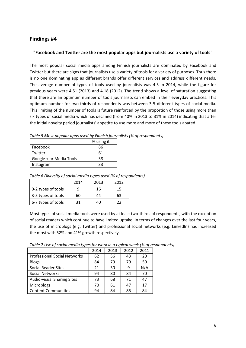#### **"Facebook and Twitter are the most popular apps but journalists use a variety of tools"**

The most popular social media apps among Finnish journalists are dominated by Facebook and Twitter but there are signs that journalists use a variety of tools for a variety of purposes. Thus there is no one dominating app as different brands offer different services and address different needs. The average number of types of tools used by journalists was 4.5 in 2014, while the figure for previous years were 4.51 (2013) and 4.18 (2012). The trend shows a level of saturation suggesting that there are an optimum number of tools journalists can embed in their everyday practices. This optimum number for two-thirds of respondents was between 3-5 different types of social media. This limiting of the number of tools is future reinforced by the proportion of those using more than six types of social media which has declined (from 40% in 2013 to 31% in 2014) indicating that after the initial novelty period journalists' appetite to use more and more of these tools abated.

|                         | % using it |
|-------------------------|------------|
| Facebook                | 86         |
| Twitter                 | 61         |
| Google + or Media Tools | 38         |
| Instagram               | २२         |

*Table 5 Most popular apps used by Finnish journalists (% of respondents)* 

|                    | 2014 | 2013 | 2012 |
|--------------------|------|------|------|
| 0-2 types of tools |      | 16   | 15   |
| 3-5 types of tools | 60   | 44   | 63   |
| 6-7 types of tools | 21   | 40   | つつ   |

*Table 6 Diversity of social media types used (% of respondents)*

Most types of social media tools were used by at least two-thirds of respondents, with the exception of social readers which continue to have limited uptake. In terms of changes over the last four years, the use of microblogs (e.g. Twitter) and professional social networks (e.g. LinkedIn) has increased the most with 52% and 41% growth respectively.

| Table 7 Use of social media types for work in a typical week (% of respondents) |                           |  |  |
|---------------------------------------------------------------------------------|---------------------------|--|--|
|                                                                                 | 2014   2013   2012   2011 |  |  |

| <b>Professional Social Networks</b> | 62 | 56 | 43 | 20  |
|-------------------------------------|----|----|----|-----|
| <b>Blogs</b>                        | 84 | 79 | 79 | 50  |
| <b>Social Reader Sites</b>          | 21 | 30 | 9  | N/A |
| <b>Social Networks</b>              | 94 | 80 | 84 | 70  |
| <b>Audio-visual Sharing Sites</b>   | 73 | 68 | 71 | 47  |
| Microblogs                          | 70 | 61 | 47 | 17  |
| <b>Content Communities</b>          | 94 | 84 | 85 | 84  |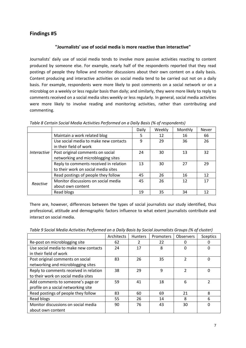#### **"Journalists' use of social media is more reactive than interactive"**

Journalists' daily use of social media tends to involve more passive activities reacting to content produced by someone else. For example, nearly half of the respondents reported that they read postings of people they follow and monitor discussions about their own content on a daily basis. Content producing and interactive activities on social media tend to be carried out not on a daily basis. For example, respondents were more likely to post comments on a social network or on a microblog on a weekly or less regular basis than daily; and similarly, they were more likely to reply to comments received on a social media sites weekly or less regularly. In general, social media activities were more likely to involve reading and monitoring activities, rather than contributing and commenting.

|                    |                                        | Daily | Weekly | Monthly | <b>Never</b> |
|--------------------|----------------------------------------|-------|--------|---------|--------------|
|                    | Maintain a work related blog           | 5     | 12     | 16      | 66           |
|                    | Use social media to make new contacts  | ٩     | 29     | 36      | 26           |
|                    | in their field of work                 |       |        |         |              |
| <i>Interactive</i> | Post original comments on social       | 24    | 30     | 13      | 32           |
|                    | networking and microblogging sites     |       |        |         |              |
|                    | Reply to comments received in relation | 13    | 30     | 27      | 29           |
|                    | to their work on social media sites    |       |        |         |              |
|                    | Read postings of people they follow    | 45    | 26     | 16      | 12           |
| Reactive           | Monitor discussions on social media    | 45    | 26     | 12      | 17           |
|                    | about own content                      |       |        |         |              |
|                    | Read blogs                             | 19    | 35     | 34      |              |

*Table 8 Certain Social Media Activities Performed on a Daily Basis (% of respondents)*

There are, however, differences between the types of social journalists our study identified, thus professional, attitude and demographic factors influence to what extent journalists contribute and interact on social media.

|                                        | Architects | <b>Hunters</b> | Promoters | Observers     | <b>Sceptics</b> |
|----------------------------------------|------------|----------------|-----------|---------------|-----------------|
| Re-post on microblogging site          | 62         |                | 22        |               | 0               |
| Use social media to make new contacts  | 24         | 17             | 8         | 0             | 0               |
| in their field of work                 |            |                |           |               |                 |
| Post original comments on social       | 83         | 26             | 35        | $\mathfrak z$ | $\Omega$        |
| networking and microblogging sites     |            |                |           |               |                 |
| Reply to comments received in relation | 38         | 29             | 9         | $\mathcal{P}$ | $\Omega$        |
| to their work on social media sites    |            |                |           |               |                 |
| Add comments to someone's page or      | 59         | 41             | 18        | 6             | 2               |
| profile on a social networking site    |            |                |           |               |                 |
| Read postings of people they follow    | 83         | 60             | 69        | 21            | 8               |
| Read blogs                             | 55         | 26             | 14        | 8             | 6               |
| Monitor discussions on social media    | 90         | 76             | 43        | 30            | $\Omega$        |
| about own content                      |            |                |           |               |                 |

*Table 9 Social Media Activities Performed on a Daily Basis by Social Journalists Groups (% of cluster)*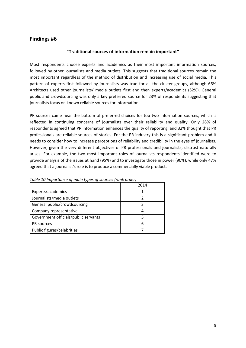#### **"Traditional sources of information remain important"**

Most respondents choose experts and academics as their most important information sources, followed by other journalists and media outlets. This suggests that traditional sources remain the most important regardless of the method of distribution and increasing use of social media. This pattern of experts first followed by journalists was true for all the cluster groups, although 66% Architects used other journalists/ media outlets first and then experts/academics (52%). General public and crowdsourcing was only a key preferred source for 23% of respondents suggesting that journalists focus on known reliable sources for information.

PR sources came near the bottom of preferred choices for top two information sources, which is reflected in continuing concerns of journalists over their reliability and quality. Only 28% of respondents agreed that PR information enhances the quality of reporting, and 32% thought that PR professionals are reliable sources of stories. For the PR industry this is a significant problem and it needs to consider how to increase perceptions of reliability and credibility in the eyes of journalists. However, given the very different objectives of PR professionals and journalists, distrust naturally arises. For example, the two most important roles of journalists respondents identified were to provide analysis of the issues at hand (95%) and to investigate those in power (90%), while only 47% agreed that a journalist's role is to produce a commercially viable product.

|                                      | 2014 |
|--------------------------------------|------|
| Experts/academics                    |      |
| Journalists/media outlets            |      |
| General public/crowdsourcing         |      |
| Company representative               |      |
| Government officials/public servants |      |
| PR sources                           | 6    |
| Public figures/celebrities           |      |

*Table 10 Importance of main types of sources (rank order)*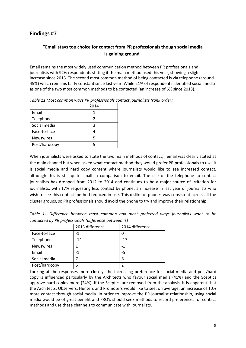## **"Email stays top choice for contact from PR professionals though social media Is gaining ground"**

Email remains the most widely used communication method between PR professionals and journalists with 92% respondents stating it the main method used this year, showing a slight increase since 2013. The second most common method of being contacted is via telephone (around 45%) which remains fairly constant since last year. While 21% of respondents identified social media as one of the two most common methods to be contacted (an increase of 6% since 2013).

|                  | 2014 |
|------------------|------|
| Email            |      |
| Telephone        |      |
| Social media     |      |
| Face-to-face     |      |
| <b>Newswires</b> |      |
| Post/hardcopy    |      |

*Table 11 Most common ways PR professionals contact journalists (rank order)*

When journalists were asked to state the two main methods of contact, , email was clearly stated as the main channel but when asked what contact method they would prefer PR professionals to use, it is social media and hard copy content where journalists would like to see increased contact, although this is still quite small in comparison to email. The use of the telephone to contact journalists has dropped from 2012 to 2014 and continues to be a major source of irritation for journalists, with 17% requesting less contact by phone, an increase in last year of journalists who wish to see this contact method reduced in use. This dislike of phones was consistent across all the cluster groups, so PR professionals should avoid the phone to try and improve their relationship.

*Table 11 Difference between most common and most preferred ways journalists want to be contacted by PR professionals (difference between %)*

|                  | 2013 difference | 2014 difference |
|------------------|-----------------|-----------------|
| Face-to-face     | -1              |                 |
| Telephone        | $-14$           | $-17$           |
| <b>Newswires</b> |                 |                 |
| Email            | $-1$            | -5              |
| Social media     |                 | 6               |
| Post/hardcopy    |                 |                 |

Looking at the responses more closely, the increasing preference for social media and post/hard copy is influenced particularly by the Architects who favour social media (41%) and the Sceptics approve hard copies more (24%). If the Sceptics are removed from the analysis, it is apparent that the Architects, Observers, Hunters and Promoters would like to see, on average, an increase of 10% more contact through social media. In order to improve the PR-journalist relationship, using social media would be of great benefit and PRO's should seek methods to record preferences for contact methods and use these channels to communicate with journalists.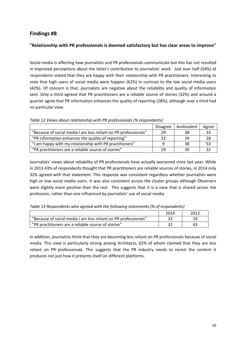### **"Relationship with PR professionals is deemed satisfactory but has clear areas to improve"**

Social media is affecting how journalists and PR professionals communicate but this has not resulted in improved perceptions about the latter's contribution to journalists' work. Just over half (54%) of respondents stated that they are happy with their relationship with PR practitioners. Interesting to note that high users of social media were happier (62%) in contrast to the low social media users (42%). Of concern is that, journalists are negative about the reliability and quality of information sent. Only a third agreed that PR practitioners are a reliable source of stories (32%) and around a quarter agree that PR information enhances the quality of reporting (28%), although over a third had no particular view.

|                                                                 | <b>Disagree</b> | Ambivalent | Agree |
|-----------------------------------------------------------------|-----------------|------------|-------|
| "Because of social media I am less reliant on PR professionals" | 29              | 38         | 33    |
| "PR information enhances the quality of reporting"              | 32              | 39         | 28    |
| "I am happy with my relationship with PR practitioners"         |                 | -38        | 53    |
| "PR practitioners are a reliable source of stories"             | 29              | 39         |       |

*Table 12 Views about relationship with PR professionals (% respondents)*

Journalists' views about reliability of PR professionals have actually worsened since last year. While in 2013 43% of respondents thought that PR practitioners are reliable sources of stories, in 2014 only 32% agreed with that statement. This response was consistent regardless whether journalists were high or low social media users. It was also consistent across the cluster groups although Observers were slightly more positive than the rest. This suggests that it is a view that is shared across the profession, rather than one influenced by journalists' use of social media.

*Table 13 Respondents who agreed with the following statements (% of respondents)*

|                                                                 | 2014 | 2013 |
|-----------------------------------------------------------------|------|------|
| "Because of social media I am less reliant on PR professionals" |      |      |
| "PR practitioners are a reliable source of stories"             |      |      |

In addition, journalists think that they are becoming less reliant on PR professionals because of social media. This view is particularly strong among Architects, 62% of whom claimed that they are less reliant on PR professionals. This suggests that the PR industry needs to revisit the content it produces not just how it presents itself on different platforms.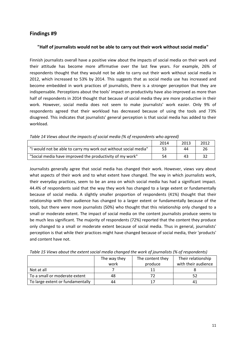#### **"Half of journalists would not be able to carry out their work without social media"**

Finnish journalists overall have a positive view about the impacts of social media on their work and their attitude has become more affirmative over the last few years. For example, 26% of respondents thought that they would not be able to carry out their work without social media in 2012, which increased to 53% by 2014. This suggests that as social media use has increased and become embedded in work practices of journalists, there is a stronger perception that they are indispensable. Perceptions about the tools' impact on productivity have also improved as more than half of respondents in 2014 thought that because of social media they are more productive in their work. However, social media does not seem to make journalists' work easier. Only 9% of respondents agreed that their workload has decreased because of using the tools and 73% disagreed. This indicates that journalists' general perception is that social media has added to their workload.

| Table 14 Views about the impacts of social media (% of respondents who agreed) |  |  |  |
|--------------------------------------------------------------------------------|--|--|--|
|--------------------------------------------------------------------------------|--|--|--|

|                                                                 | 2014 | 2013 | 2012 |
|-----------------------------------------------------------------|------|------|------|
| "I would not be able to carry my work out without social media" | 53   | 44   | 26   |
| "Social media have improved the productivity of my work"        | 54   | 43   |      |

Journalists generally agree that social media has changed their work. However, views vary about what aspects of their work and to what extent have changed. The way in which journalists work, their everyday practices, seem to be an area on which social media has had a significant impact. 44.4% of respondents said that the way they work has changed to a large extent or fundamentally because of social media. A slightly smaller proportion of respondents (41%) thought that their relationship with their audience has changed to a larger extent or fundamentally because of the tools, but there were more journalists (50%) who thought that this relationship only changed to a small or moderate extent. The impact of social media on the content journalists produce seems to be much less significant. The majority of respondents (72%) reported that the content they produce only changed to a small or moderate extent because of social media. Thus in general, journalists' perception is that while their practices might have changed because of social media, their 'products' and content have not.

|                                  | The way they | The content they | Their relationship  |
|----------------------------------|--------------|------------------|---------------------|
|                                  | work         | produce          | with their audience |
| Not at all                       |              | 11               |                     |
| To a small or moderate extent    | 48           |                  |                     |
| To large extent or fundamentally | 44           |                  | 41                  |

*Table 15 Views about the extent social media changed the work of journalists (% of respondents)*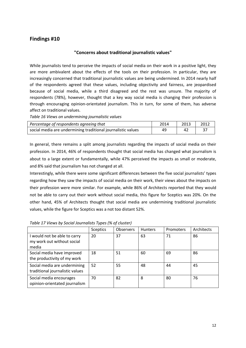#### **"Concerns about traditional journalistic values"**

While journalists tend to perceive the impacts of social media on their work in a positive light, they are more ambivalent about the effects of the tools on their profession. In particular, they are increasingly concerned that traditional journalistic values are being undermined. In 2014 nearly half of the respondents agreed that these values, including objectivity and fairness, are jeopardised because of social media, while a third disagreed and the rest was unsure. The majority of respondents (78%), however, thought that a key way social media is changing their profession is through encouraging opinion-orientated journalism. This in turn, for some of them, has adverse affect on traditional values.

*Table 16 Views on undermining journalistic values*

| Percentage of respondents agreeing that                      | 2014 | 2013 | 2012 |
|--------------------------------------------------------------|------|------|------|
| social media are undermining traditional journalistic values | 49   |      |      |

In general, there remains a split among journalists regarding the impacts of social media on their profession. In 2014, 46% of respondents thought that social media has changed what journalism is about to a large extent or fundamentally, while 47% perceived the impacts as small or moderate, and 8% said that journalism has not changed at all.

Interestingly, while there were some significant differences between the five social journalists' types regarding how they saw the impacts of social media on their work, their views about the impacts on their profession were more similar. For example, while 86% of Architects reported that they would not be able to carry out their work without social media, this figure for Sceptics was 20%. On the other hand, 45% of Architects thought that social media are undermining traditional journalistic values, while the figure for Sceptics was a not too distant 52%.

|                                                                     | <b>Sceptics</b> | <b>Observers</b> | <b>Hunters</b> | <b>Promoters</b> | Architects |
|---------------------------------------------------------------------|-----------------|------------------|----------------|------------------|------------|
| I would not be able to carry<br>my work out without social<br>media | 20              | 37               | 63             | 71               | 86         |
| Social media have improved<br>the productivity of my work           | 18              | 51               | 60             | 69               | 86         |
| Social media are undermining<br>traditional journalistic values     | 52              | 55               | 48             | 44               | 45         |
| Social media encourages<br>opinion-orientated journalism            | 70              | 82               | 8              | 80               | 76         |

*Table 17 Views by Social Journalists Types (% of cluster)*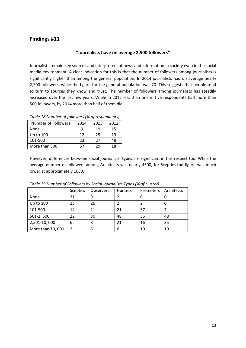#### **"Journalists have on average 2,500 followers"**

Journalists remain key sources and interpreters of news and information in society even in the social media environment. A clear indication for this is that the number of followers among journalists is significantly higher than among the general population. In 2014 journalists had on average nearly 2,500 followers, while the figure for the general population was 70. This suggests that people tend to turn to sources they know and trust. The number of followers among journalists has steadily increased over the last few years. While in 2012 less than one in five respondents had more than 500 followers, by 2014 more than half of them did.

| <b>Number of Followers</b> | 2014 | 2013 | 2012 |
|----------------------------|------|------|------|
| None                       |      | 19   | 15   |
| Up to 100                  | 12   | 25   | 19   |
| 101-500                    | 23   | 27   | 48   |
| More than 500              |      | 29   | 18   |
|                            |      |      |      |

*Table 18 Number of followers (% of respondents)*

However, differences between social journalists' types are significant in this respect too. While the average number of followers among Architects was nearly 4500, for Sceptics the figure was much lower at approximately 1050.

|                   | <b>Sceptics</b> | Observers | <b>Hunters</b> | Promoters | Architects |
|-------------------|-----------------|-----------|----------------|-----------|------------|
| None              | 31              |           |                |           |            |
| Up to 100         | 25              | 26        |                |           | υ          |
| 101-500           | 14              | 21        | 21             | 37        |            |
| 501-2, 500        | 22              | 30        | 48             | 35        | 48         |
| 2,501-10,000      | 6               | 8         | 21             | 16        | 35         |
| More than 10, 000 | 2               | 6         | 6              | 10        | 10         |

*Table 19 Number of Followers by Social Journalists Types (% of cluster)*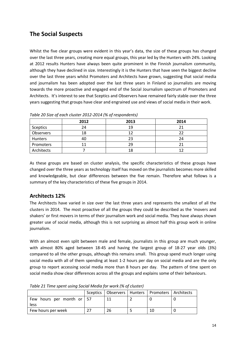# **The Social Suspects**

Whilst the five clear groups were evident in this year's data, the size of these groups has changed over the last three years, creating more equal groups, this year led by the Hunters with 24%. Looking at 2012 results Hunters have always been quite prominent in the Finnish journalism community, although they have declined in size. Interestingly it is the Hunters that have seen the biggest decline over the last three years whilst Promoters and Architects have grown, suggesting that social media and journalism has been adopted over the last three years in Finland so journalists are moving towards the more proactive and engaged end of the Social Journalism spectrum of Promoters and Architects. It's interest to see that Sceptics and Observers have remained fairly stable over the three years suggesting that groups have clear and engrained use and views of social media in their work.

|                | 2012 | 2013 | 2014 |
|----------------|------|------|------|
| Sceptics       | 24   | 19   |      |
| Observers      | 18   | 12   |      |
| <b>Hunters</b> | 40   | 23   | 24   |
| Promoters      |      | 29   |      |
| Architects     |      | 18   |      |

*Table 20 Size of each cluster 2012-2014 (% of respondents)*

As these groups are based on cluster analysis, the specific characteristics of these groups have changed over the three years as technology itself has moved on the journalists becomes more skilled and knowledgeable, but clear differences between the five remain. Therefore what follows is a summary of the key characteristics of these five groups in 2014.

# **Architects 12%**

The Architects have varied in size over the last three years and represents the smallest of all the clusters in 2014. The most proactive of all the groups they could be described as the 'movers and shakers' or first movers in terms of their journalism work and social media. They have always shown greater use of social media, although this is not surprising as almost half this group work in online journalism.

With an almost even split between male and female, journalists in this group are much younger, with almost 80% aged between 18-45 and having the largest group of 18-27 year olds (3%) compared to all the other groups, although this remains small. This group spend much longer using social media with all of them spending at least 1-2 hours per day on social media and are the only group to report accessing social media more than 8 hours per day. The pattern of time spent on social media show clear differences across all the groups and explains some of their behaviours.

|                                           |    | Sceptics   Observers   Hunters   Promoters   Architects |  |
|-------------------------------------------|----|---------------------------------------------------------|--|
| Few hours per month or $\vert$ 57<br>less |    |                                                         |  |
| Few hours per week                        | 26 |                                                         |  |

*Table 21 Time spent using Social Media for work (% of cluster)*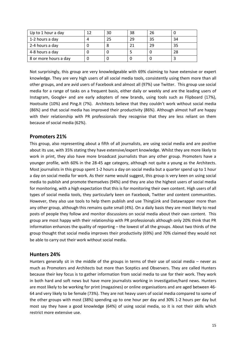| Up to 1 hour a day    | 30 | 38 | 26 |    |
|-----------------------|----|----|----|----|
| 1-2 hours a day       | 25 | 29 | 35 | 34 |
| 2-4 hours a day       |    |    | 29 | 35 |
| 4-8 hours a day       |    |    |    | 28 |
| 8 or more hours a day |    |    |    |    |

Not surprisingly, this group are very knowledgeable with 69% claiming to have extensive or expert knowledge. They are very high users of all social media tools, consistently using them more than all other groups, and are avid users of Facebook and almost all (97%) use Twitter. This group use social media for a range of tasks on a frequent basis, either daily or weekly and are the leading users of Instagram, Google+ and are early adopters of new brands, using tools such as Flipboard (17%), Hootsuite (10%) and Ping.It (7%). Architects believe that they couldn't work without social media (86%) and that social media has improved their productivity (86%). Although almost half are happy with their relationship with PR professionals they recognise that they are less reliant on them because of social media (62%).

## **Promoters 21%**

This group, also representing about a fifth of all journalists, are using social media and are positive about its use, with 35% stating they have extensive/expert knowledge. Whilst they are more likely to work in print, they also have more broadcast journalists than any other group. Promoters have a younger profile, with 60% in the 28-45 age category, although not quite a young as the Architects. Most journalists in this group spent 1-2 hours a day on social media but a quarter spend up to 1 hour a day on social media for work. As their name would suggest, this group is very keen on using social media to publish and promote themselves (94%) and they are also the highest users of social media for monitoring, with a high expectation that this is for monitoring their own content. High users of all types of social media tools, they particularly keen on Facebook, Twitter and content communities. However, they also use tools to help them publish and use ThingLink and Datawrapper more than any other group, although this remains quite small (4%). On a daily basis they are most likely to read posts of people they follow and monitor discussions on social media about their own content. This group are most happy with their relationship with PR professionals although only 20% think that PR information enhances the quality of reporting – the lowest of all the groups. About two thirds of the group thought that social media improves their productivity (69%) and 70% claimed they would not be able to carry out their work without social media.

## **Hunters 24%**

Hunters generally sit in the middle of the groups in terms of their use of social media – never as much as Promoters and Architects but more than Sceptics and Observers. They are called Hunters because their key focus is to gather information from social media to use for their work. They work in both hard and soft news but have more journalists working in investigative/hard news. Hunters are most likely to be working for print (magazines) or online organisations and are aged between 46- 64 and very likely to be female (73%). They are not heavy users of social media compared to some of the other groups with most (38%) spending up to one hour per day and 30% 1-2 hours per day but most say they have a good knowledge (64%) of using social media, so it is not their skills which restrict more extensive use.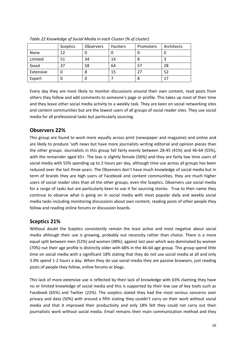|           | <b>Sceptics</b> | <b>Observers</b> | <b>Hunters</b> | Promoters | Architects |
|-----------|-----------------|------------------|----------------|-----------|------------|
| None      | 12              | 0                |                |           |            |
| Limited   | 51              | 34               | 14             | 8         |            |
| Good      | 37              | 58               | 64             | 57        | 28         |
| Extensive |                 | 8                | 15             | 27        | 52         |
| Expert    |                 | 0                |                | 8         | 17         |

*Table 22 Knowledge of Social Media in each Cluster (% of cluster)*

Every day they are most likely to monitor discussions around their own content, read posts from others they follow and add comments to someone's page or profile. This takes up most of their time and they leave other social media activity to a weekly task. They are keen on social networking sites and content communities but are the lowest users of all groups of social reader sites. They use social media for all professional tasks but particularly sourcing.

# **Observers 22%**

This group are found to work more equally across print (newspaper and magazine) and online and are likely to produce 'soft news but have more journalists writing editorial and opinion pieces than the other groups. Journalists in this group fall fairly evenly between 28-45 (41%) and 46-64 (55%), with the remainder aged 65+. The bias is slightly female (56%) and they are fairly low time users of social media with 55% spending up to 2 hours per day, although time use across all groups has been reduced over the last three years. The Observers don't have much knowledge of social media but in term of brands they are high users of Facebook and content communities, they are much higher users of social reader sites than all the other groups, even the Sceptics. Observers use social media for a range of tasks but are particularly keen to use it for sourcing stories. True to their name they continue to observe what is going on in social media with most popular daily and weekly social media tasks including monitoring discussions about own content, reading posts of other people they follow and reading online forums or discussion boards.

## **Sceptics 21%**

Without doubt the Sceptics consistently remain the least active and most negative about social media although their use is growing, probably out necessity rather than choice. There is a more equal split between men (52%) and women (48%); against last year which was dominated by women (70%) nut their age profile is distinctly older with 68% in the 46-64 age group. This group spend little time on social media with a significant 18% stating that they do not use social media at all and only 3.9% spend 1-2 hours a day. When they do use social media they are passive browsers, just reading posts of people they follow, online forums or blogs.

This lack of more extensive use is reflected by their lack of knowledge with 63% claiming they have no or limited knowledge of social media and this is supported by their low use of key tools such as Facebook (65%) and Twitter (22%). The sceptics stated they had the most serious concerns over privacy and data (50%) with around a fifth stating they couldn't carry on their work without social media and that it improved their productivity and only 18% felt they could not carry out their journalistic work without social media. Email remains their main communication method and they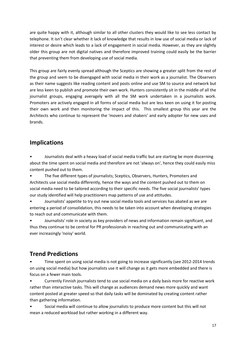are quite happy with it, although similar to all other clusters they would like to see less contact by telephone. It isn't clear whether it lack of knowledge that results in low use of social media or lack of interest or desire which leads to a lack of engagement in social media. However, as they are slightly older this group are not digital natives and therefore improved training could easily be the barrier that preventing them from developing use of social media.

This group are fairly evenly spread although the Sceptics are showing a greater split from the rest of the group and seem to be disengaged with social media in their work as a journalist. The Observers as their name suggests like reading content and posts online and use SM to source and network but are less keen to publish and promote their own work. Hunters consistently sit in the middle of all the journalist groups, engaging averagely with all the SM work undertaken in a journalists work. Promoters are actively engaged in all forms of social media but are less keen on using it for posting their own work and then monitoring the impact of this. This smallest group this year are the Architects who continue to represent the 'movers and shakers' and early adopter for new uses and brands.

# **Implications**

• Journalists deal with a heavy load of social media traffic but are starting be more discerning about the time spent on social media and therefore are not 'always on', hence they could easily miss content pushed out to them.

• The five different types of journalists; Sceptics, Observers, Hunters, Promoters and Architects use social media differently, hence the ways and the content pushed out to them on social media need to be tailored according to their specific needs. The five social journalists' types our study identified will help practitioners map patterns of use and attitudes.

• Journalists' appetite to try out new social media tools and services has abated as we are entering a period of consolidation, this needs to be taken into account when developing strategies to reach out and communicate with them.

• Journalists' role in society as key providers of news and information remain significant, and thus they continue to be central for PR professionals in reaching out and communicating with an ever increasingly 'noisy' world.

# **Trend Predictions**

• Time spent on using social media is not going to increase significantly (see 2012-2014 trends on using social media) but how journalists use it will change as it gets more embedded and there is focus on a fewer main tools.

• Currently Finnish journalists tend to use social media on a daily basis more for reactive work rather than interactive tasks. This will change as audiences demand news more quickly and want content posted at greater speed so that daily tasks will be dominated by creating content rather than gathering information.

• Social media will continue to allow journalists to produce more content but this will not mean a reduced workload but rather working in a different way.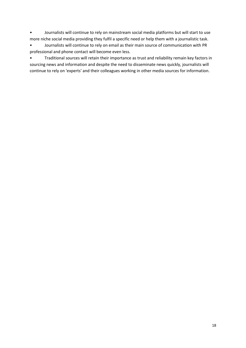• Journalists will continue to rely on mainstream social media platforms but will start to use more niche social media providing they fulfil a specific need or help them with a journalistic task.

• Journalists will continue to rely on email as their main source of communication with PR professional and phone contact will become even less.

• Traditional sources will retain their importance as trust and reliability remain key factors in sourcing news and information and despite the need to disseminate news quickly, journalists will continue to rely on 'experts' and their colleagues working in other media sources for information.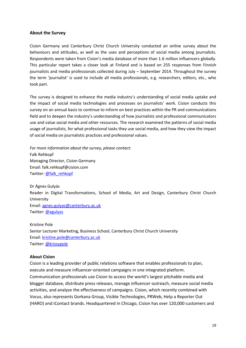#### **About the Survey**

Cision Germany and Canterbury Christ Church University conducted an online survey about the behaviours and attitudes, as well as the uses and perceptions of social media among journalists. Respondents were taken from Cision's media database of more than 1.6 million influencers globally. This particular report takes a closer look at Finland and is based on 255 responses from Finnish journalists and media professionals collected during July – September 2014. Throughout the survey the term 'journalist' is used to include all media professionals, e.g. researchers, editors, etc., who took part.

The survey is designed to enhance the media industry's understanding of social media uptake and the impact of social media technologies and processes on journalists' work. Cision conducts this survey on an annual basis to continue to inform on best practices within the PR and communications field and to deepen the industry's understanding of how journalists and professional communicators use and value social media and other resources. The research examined the patterns of social media usage of journalists, for what professional tasks they use social media, and how they view the impact of social media on journalistic practices and professional values.

*For more information about the survey, please contact:* Falk Rehkopf Managing Director, Cision Germany Email: falk.rehkopf@cision.com Twitter: [@falk\\_rehkopf](https://twitter.com/falk_rehkopf)

Dr Ágnes Gulyás Reader in Digital Transformations, School of Media, Art and Design, Canterbury Christ Church University Email: [agnes.gulyas@canterbury.ac.uk](mailto:agnes.gulyas@canterbury.ac.uk) Twitter: [@agulyas](https://twitter.com/agulyas)

Kristine Pole Senior Lecturer Marketing, Business School, Canterbury Christ Church University Email: [kristine.pole@canterbury.ac.uk](mailto:kristine.pole@canterbury.ac.uk) Twitter: [@krissypole](https://twitter.com/krissypole)

#### **About Cision**

Cision is a leading provider of public relations software that enables professionals to plan, execute and measure influencer-oriented campaigns in one integrated platform. Communication professionals use Cision to access the world's largest pitchable media and blogger database, distribute press releases, manage influencer outreach, measure social media activities, and analyze the effectiveness of campaigns. Cision, which recently combined with Vocus, also represents Gorkana Group, Visible Technologies, PRWeb, Help a Reporter Out (HARO) and iContact brands. Headquartered in Chicago, Cision has over 120,000 customers and